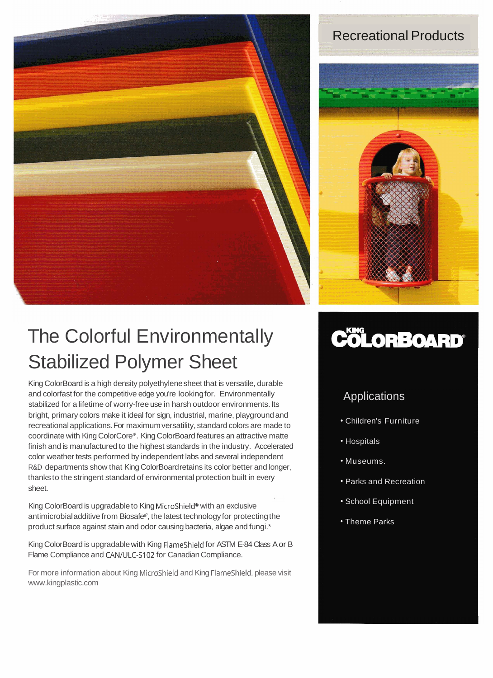

## Recreational Products

![](_page_0_Picture_2.jpeg)

## The Colorful Environmentally Stabilized Polymer Sheet

King ColorBoard is a high density polyethylene sheet that is versatile, durable and colorfast for the competitive edge you're looking for. Environmentally stabilized for a lifetime of worry-free use in harsh outdoor environments. Its bright, primary colors make it ideal for sign, industrial, marine, playground and recreational applications. For maximum versatility, standard colors are made to coordinate with King ColorCore<sup>®</sup>. King ColorBoard features an attractive matte finish and is manufactured to the highest standards in the industry. Accelerated color weather tests performed by independent labs and several independent R&D departments show that King ColorBoard retains its color better and longer, thanks to the stringent standard of environmental protection built in every sheet.

King ColorBoard is upgradable to King MicroShield® with an exclusive antimicrobial additive from Biosafe<sup>®</sup>, the latest technology for protecting the product surface against stain and odor causing bacteria, algae and fungi.\*

King ColorBoard is upgradable with King FlameShield for ASTM E-84 Class A or B Flame Compliance and CANIULC-S102 for Canadian Compliance.

For more information about King Microshield and King FlameShield, please visit www.kingplastic.com

## **COLORBOARD®**

## Applications

- Children's Furniture
- Hospitals
- Museums.
- Parks and Recreation
- School Equipment
- Theme Parks